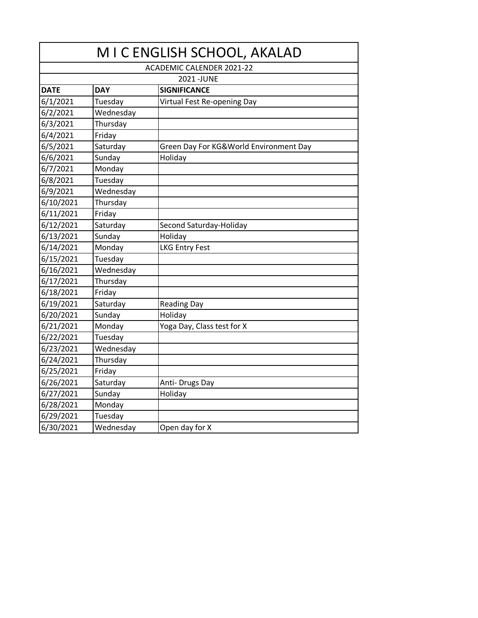| M I C ENGLISH SCHOOL, AKALAD     |                                   |                                        |  |  |
|----------------------------------|-----------------------------------|----------------------------------------|--|--|
| <b>ACADEMIC CALENDER 2021-22</b> |                                   |                                        |  |  |
| 2021-JUNE                        |                                   |                                        |  |  |
| <b>DATE</b>                      | <b>SIGNIFICANCE</b><br><b>DAY</b> |                                        |  |  |
| 6/1/2021                         | Tuesday                           | Virtual Fest Re-opening Day            |  |  |
| 6/2/2021                         | Wednesday                         |                                        |  |  |
| 6/3/2021                         | Thursday                          |                                        |  |  |
| 6/4/2021                         | Friday                            |                                        |  |  |
| 6/5/2021                         | Saturday                          | Green Day For KG&World Environment Day |  |  |
| 6/6/2021                         | Sunday                            | Holiday                                |  |  |
| 6/7/2021                         | Monday                            |                                        |  |  |
| 6/8/2021                         | Tuesday                           |                                        |  |  |
| 6/9/2021                         | Wednesday                         |                                        |  |  |
| 6/10/2021                        | Thursday                          |                                        |  |  |
| 6/11/2021                        | Friday                            |                                        |  |  |
| 6/12/2021                        | Saturday                          | Second Saturday-Holiday                |  |  |
| 6/13/2021                        | Sunday                            | Holiday                                |  |  |
| 6/14/2021                        | Monday                            | <b>LKG Entry Fest</b>                  |  |  |
| 6/15/2021                        | Tuesday                           |                                        |  |  |
| 6/16/2021                        | Wednesday                         |                                        |  |  |
| 6/17/2021                        | Thursday                          |                                        |  |  |
| 6/18/2021                        | Friday                            |                                        |  |  |
| 6/19/2021                        | Saturday                          | <b>Reading Day</b>                     |  |  |
| 6/20/2021                        | Sunday                            | Holiday                                |  |  |
| 6/21/2021                        | Monday                            | Yoga Day, Class test for X             |  |  |
| 6/22/2021                        | Tuesday                           |                                        |  |  |
| 6/23/2021                        | Wednesday                         |                                        |  |  |
| 6/24/2021                        | Thursday                          |                                        |  |  |
| 6/25/2021                        | Friday                            |                                        |  |  |
| 6/26/2021                        | Saturday                          | Anti-Drugs Day                         |  |  |
| 6/27/2021                        | Sunday                            | Holiday                                |  |  |
| 6/28/2021                        | Monday                            |                                        |  |  |
| 6/29/2021                        | Tuesday                           |                                        |  |  |
| 6/30/2021                        | Wednesday                         | Open day for X                         |  |  |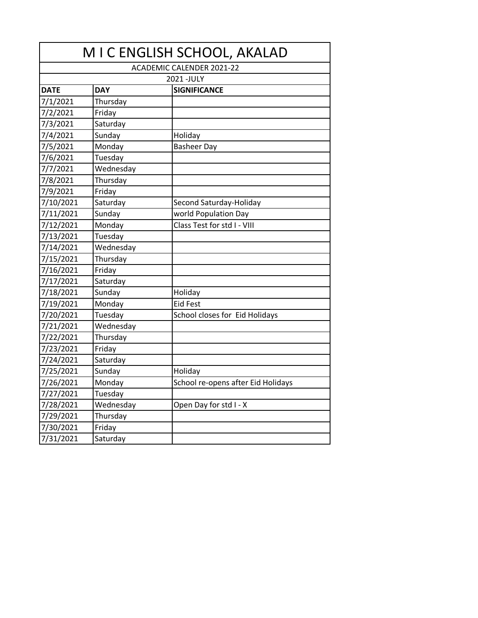| M I C ENGLISH SCHOOL, AKALAD     |            |                                    |  |
|----------------------------------|------------|------------------------------------|--|
| <b>ACADEMIC CALENDER 2021-22</b> |            |                                    |  |
|                                  |            | 2021-JULY                          |  |
| <b>DATE</b>                      | <b>DAY</b> | <b>SIGNIFICANCE</b>                |  |
| 7/1/2021                         | Thursday   |                                    |  |
| 7/2/2021                         | Friday     |                                    |  |
| 7/3/2021                         | Saturday   |                                    |  |
| 7/4/2021                         | Sunday     | Holiday                            |  |
| 7/5/2021                         | Monday     | <b>Basheer Day</b>                 |  |
| 7/6/2021                         | Tuesday    |                                    |  |
| 7/7/2021                         | Wednesday  |                                    |  |
| 7/8/2021                         | Thursday   |                                    |  |
| 7/9/2021                         | Friday     |                                    |  |
| 7/10/2021                        | Saturday   | Second Saturday-Holiday            |  |
| 7/11/2021                        | Sunday     | world Population Day               |  |
| 7/12/2021                        | Monday     | Class Test for std I - VIII        |  |
| 7/13/2021                        | Tuesday    |                                    |  |
| 7/14/2021                        | Wednesday  |                                    |  |
| 7/15/2021                        | Thursday   |                                    |  |
| 7/16/2021                        | Friday     |                                    |  |
| 7/17/2021                        | Saturday   |                                    |  |
| 7/18/2021                        | Sunday     | Holiday                            |  |
| 7/19/2021                        | Monday     | <b>Eid Fest</b>                    |  |
| 7/20/2021                        | Tuesday    | School closes for Eid Holidays     |  |
| 7/21/2021                        | Wednesday  |                                    |  |
| 7/22/2021                        | Thursday   |                                    |  |
| 7/23/2021                        | Friday     |                                    |  |
| 7/24/2021                        | Saturday   |                                    |  |
| 7/25/2021                        | Sunday     | Holiday                            |  |
| 7/26/2021                        | Monday     | School re-opens after Eid Holidays |  |
| 7/27/2021                        | Tuesday    |                                    |  |
| 7/28/2021                        | Wednesday  | Open Day for std I - X             |  |
| 7/29/2021                        | Thursday   |                                    |  |
| 7/30/2021                        | Friday     |                                    |  |
| 7/31/2021                        | Saturday   |                                    |  |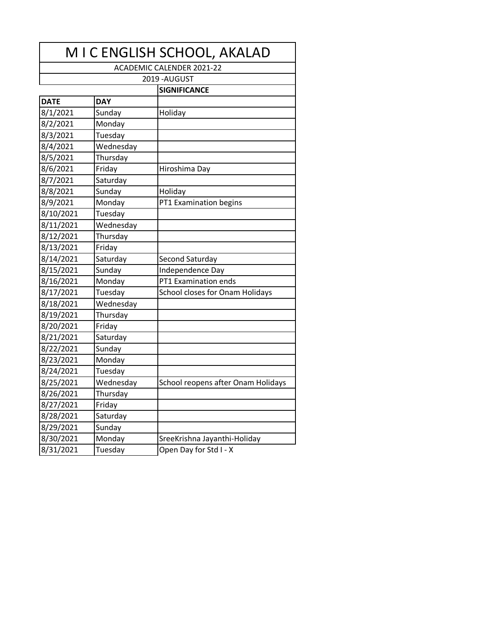| M I C ENGLISH SCHOOL, AKALAD     |            |                                    |  |
|----------------------------------|------------|------------------------------------|--|
| <b>ACADEMIC CALENDER 2021-22</b> |            |                                    |  |
| 2019 - AUGUST                    |            |                                    |  |
|                                  |            | <b>SIGNIFICANCE</b>                |  |
| <b>DATE</b>                      | <b>DAY</b> |                                    |  |
| 8/1/2021                         | Sunday     | Holiday                            |  |
| 8/2/2021                         | Monday     |                                    |  |
| 8/3/2021                         | Tuesday    |                                    |  |
| 8/4/2021                         | Wednesday  |                                    |  |
| 8/5/2021                         | Thursday   |                                    |  |
| 8/6/2021                         | Friday     | Hiroshima Day                      |  |
| 8/7/2021                         | Saturday   |                                    |  |
| 8/8/2021                         | Sunday     | Holiday                            |  |
| 8/9/2021                         | Monday     | PT1 Examination begins             |  |
| 8/10/2021                        | Tuesday    |                                    |  |
| 8/11/2021                        | Wednesday  |                                    |  |
| 8/12/2021                        | Thursday   |                                    |  |
| 8/13/2021                        | Friday     |                                    |  |
| 8/14/2021                        | Saturday   | Second Saturday                    |  |
| 8/15/2021                        | Sunday     | Independence Day                   |  |
| 8/16/2021                        | Monday     | PT1 Examination ends               |  |
| 8/17/2021                        | Tuesday    | School closes for Onam Holidays    |  |
| 8/18/2021                        | Wednesday  |                                    |  |
| 8/19/2021                        | Thursday   |                                    |  |
| 8/20/2021                        | Friday     |                                    |  |
| 8/21/2021                        | Saturday   |                                    |  |
| 8/22/2021                        | Sunday     |                                    |  |
| 8/23/2021                        | Monday     |                                    |  |
| 8/24/2021                        | Tuesday    |                                    |  |
| 8/25/2021                        | Wednesday  | School reopens after Onam Holidays |  |
| 8/26/2021                        | Thursday   |                                    |  |
| 8/27/2021                        | Friday     |                                    |  |
| 8/28/2021                        | Saturday   |                                    |  |
| 8/29/2021                        | Sunday     |                                    |  |
| 8/30/2021                        | Monday     | SreeKrishna Jayanthi-Holiday       |  |
| 8/31/2021                        | Tuesday    | Open Day for Std I - X             |  |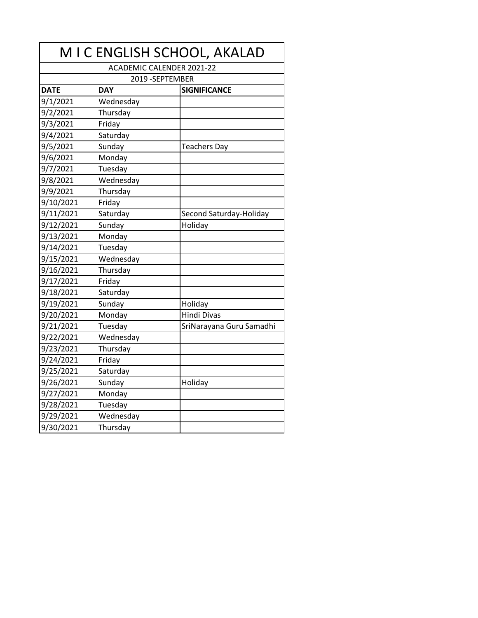| M I C ENGLISH SCHOOL, AKALAD     |                  |                          |  |
|----------------------------------|------------------|--------------------------|--|
| <b>ACADEMIC CALENDER 2021-22</b> |                  |                          |  |
|                                  | 2019 - SEPTEMBER |                          |  |
| <b>DATE</b>                      | <b>DAY</b>       | <b>SIGNIFICANCE</b>      |  |
| 9/1/2021                         | Wednesday        |                          |  |
| 9/2/2021                         | Thursday         |                          |  |
| 9/3/2021                         | Friday           |                          |  |
| 9/4/2021                         | Saturday         |                          |  |
| 9/5/2021                         | Sunday           | <b>Teachers Day</b>      |  |
| 9/6/2021                         | Monday           |                          |  |
| 9/7/2021                         | Tuesday          |                          |  |
| 9/8/2021                         | Wednesday        |                          |  |
| 9/9/2021                         | Thursday         |                          |  |
| 9/10/2021                        | Friday           |                          |  |
| 9/11/2021                        | Saturday         | Second Saturday-Holiday  |  |
| 9/12/2021                        | Sunday           | Holiday                  |  |
| 9/13/2021                        | Monday           |                          |  |
| 9/14/2021                        | Tuesday          |                          |  |
| 9/15/2021                        | Wednesday        |                          |  |
| 9/16/2021                        | Thursday         |                          |  |
| 9/17/2021                        | Friday           |                          |  |
| 9/18/2021                        | Saturday         |                          |  |
| 9/19/2021                        | Sunday           | Holiday                  |  |
| 9/20/2021                        | Monday           | <b>Hindi Divas</b>       |  |
| 9/21/2021                        | Tuesday          | SriNarayana Guru Samadhi |  |
| 9/22/2021                        | Wednesday        |                          |  |
| 9/23/2021                        | -<br>Thursday    |                          |  |
| 9/24/2021                        | Friday           |                          |  |
| 9/25/2021                        | Saturday         |                          |  |
| 9/26/2021                        | Sunday           | Holiday                  |  |
| 9/27/2021                        | Monday           |                          |  |
| 9/28/2021                        | Tuesday          |                          |  |
| 9/29/2021                        | Wednesday        |                          |  |
| 9/30/2021                        | Thursday         |                          |  |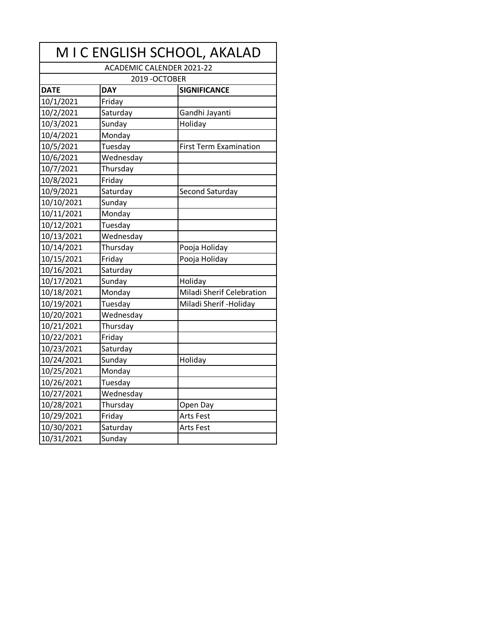|             |                                  | M I C ENGLISH SCHOOL, AKALAD  |
|-------------|----------------------------------|-------------------------------|
|             | <b>ACADEMIC CALENDER 2021-22</b> |                               |
|             | 2019-OCTOBER                     |                               |
| <b>DATE</b> | <b>DAY</b>                       | <b>SIGNIFICANCE</b>           |
| 10/1/2021   | Friday                           |                               |
| 10/2/2021   | Saturday                         | Gandhi Jayanti                |
| 10/3/2021   | Sunday                           | Holiday                       |
| 10/4/2021   | Monday                           |                               |
| 10/5/2021   | Tuesday                          | <b>First Term Examination</b> |
| 10/6/2021   | Wednesday                        |                               |
| 10/7/2021   | Thursday                         |                               |
| 10/8/2021   | Friday                           |                               |
| 10/9/2021   | Saturday                         | Second Saturday               |
| 10/10/2021  | Sunday                           |                               |
| 10/11/2021  | Monday                           |                               |
| 10/12/2021  | Tuesday                          |                               |
| 10/13/2021  | Wednesday                        |                               |
| 10/14/2021  | Thursday                         | Pooja Holiday                 |
| 10/15/2021  | Friday                           | Pooja Holiday                 |
| 10/16/2021  | Saturday                         |                               |
| 10/17/2021  | Sunday                           | Holiday                       |
| 10/18/2021  | Monday                           | Miladi Sherif Celebration     |
| 10/19/2021  | Tuesday                          | Miladi Sherif - Holiday       |
| 10/20/2021  | Wednesday                        |                               |
| 10/21/2021  | Thursday                         |                               |
| 10/22/2021  | Friday                           |                               |
| 10/23/2021  | Saturday                         |                               |
| 10/24/2021  | Sunday                           | Holiday                       |
| 10/25/2021  | Monday                           |                               |
| 10/26/2021  | Tuesday                          |                               |
| 10/27/2021  | Wednesday                        |                               |
| 10/28/2021  | Thursday                         | Open Day                      |
| 10/29/2021  | Friday                           | <b>Arts Fest</b>              |
| 10/30/2021  | Saturday                         | <b>Arts Fest</b>              |
| 10/31/2021  | Sunday                           |                               |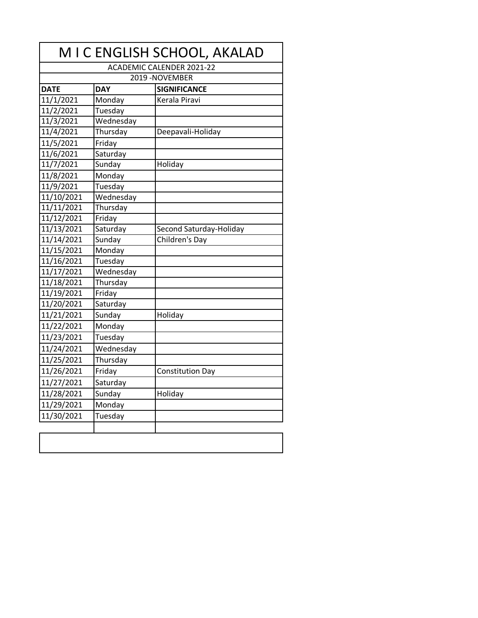|                                  |            | M I C ENGLISH SCHOOL, AKALAD |  |
|----------------------------------|------------|------------------------------|--|
| <b>ACADEMIC CALENDER 2021-22</b> |            |                              |  |
|                                  |            | 2019 - NOVEMBER              |  |
| <b>DATE</b>                      | <b>DAY</b> | <b>SIGNIFICANCE</b>          |  |
| 11/1/2021                        | Monday     | Kerala Piravi                |  |
| 11/2/2021                        | Tuesday    |                              |  |
| 11/3/2021                        | Wednesday  |                              |  |
| 11/4/2021                        | Thursday   | Deepavali-Holiday            |  |
| 11/5/2021                        | Friday     |                              |  |
| 11/6/2021                        | Saturday   |                              |  |
| 11/7/2021                        | Sunday     | Holiday                      |  |
| 11/8/2021                        | Monday     |                              |  |
| 11/9/2021                        | Tuesday    |                              |  |
| 11/10/2021                       | Wednesday  |                              |  |
| 11/11/2021                       | Thursday   |                              |  |
| 11/12/2021                       | Friday     |                              |  |
| 11/13/2021                       | Saturday   | Second Saturday-Holiday      |  |
| 11/14/2021                       | Sunday     | Children's Day               |  |
| 11/15/2021                       | Monday     |                              |  |
| 11/16/2021                       | Tuesday    |                              |  |
| 11/17/2021                       | Wednesday  |                              |  |
| 11/18/2021                       | Thursday   |                              |  |
| 11/19/2021                       | Friday     |                              |  |
| 11/20/2021                       | Saturday   |                              |  |
| 11/21/2021                       | Sunday     | Holiday                      |  |
| 11/22/2021                       | Monday     |                              |  |
| 11/23/2021                       | Tuesday    |                              |  |
| 11/24/2021                       | Wednesday  |                              |  |
| 11/25/2021                       | Thursday   |                              |  |
| 11/26/2021                       | Friday     | <b>Constitution Day</b>      |  |
| 11/27/2021                       | Saturday   |                              |  |
| 11/28/2021                       | Sunday     | Holiday                      |  |
| 11/29/2021                       | Monday     |                              |  |
| 11/30/2021                       | Tuesday    |                              |  |
|                                  |            |                              |  |
|                                  |            |                              |  |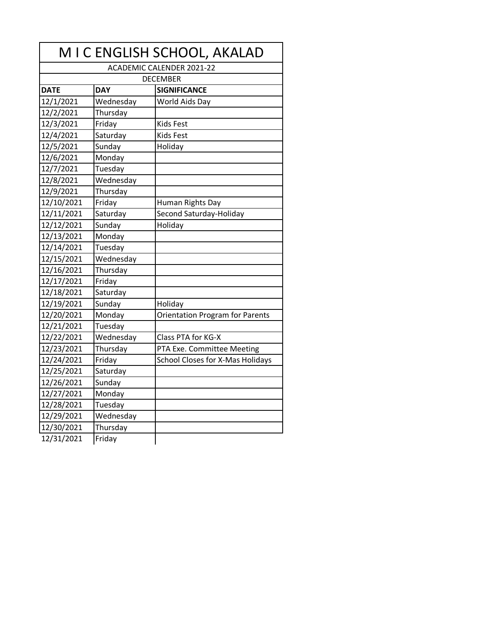| M I C ENGLISH SCHOOL, AKALAD     |            |                                        |  |
|----------------------------------|------------|----------------------------------------|--|
| <b>ACADEMIC CALENDER 2021-22</b> |            |                                        |  |
| <b>DECEMBER</b>                  |            |                                        |  |
| <b>DATE</b>                      | <b>DAY</b> | <b>SIGNIFICANCE</b>                    |  |
| 12/1/2021                        | Wednesday  | World Aids Day                         |  |
| 12/2/2021                        | Thursday   |                                        |  |
| 12/3/2021                        | Friday     | <b>Kids Fest</b>                       |  |
| 12/4/2021                        | Saturday   | <b>Kids Fest</b>                       |  |
| 12/5/2021                        | Sunday     | Holiday                                |  |
| 12/6/2021                        | Monday     |                                        |  |
| 12/7/2021                        | Tuesday    |                                        |  |
| 12/8/2021                        | Wednesday  |                                        |  |
| 12/9/2021                        | Thursday   |                                        |  |
| 12/10/2021                       | Friday     | Human Rights Day                       |  |
| 12/11/2021                       | Saturday   | Second Saturday-Holiday                |  |
| 12/12/2021                       | Sunday     | Holiday                                |  |
| 12/13/2021                       | Monday     |                                        |  |
| 12/14/2021                       | Tuesday    |                                        |  |
| 12/15/2021                       | Wednesday  |                                        |  |
| 12/16/2021                       | Thursday   |                                        |  |
| 12/17/2021                       | Friday     |                                        |  |
| 12/18/2021                       | Saturday   |                                        |  |
| 12/19/2021                       | Sunday     | Holiday                                |  |
| 12/20/2021                       | Monday     | <b>Orientation Program for Parents</b> |  |
| 12/21/2021                       | Tuesday    |                                        |  |
| 12/22/2021                       | Wednesday  | Class PTA for KG-X                     |  |
| 12/23/2021                       | Thursday   | PTA Exe. Committee Meeting             |  |
| 12/24/2021                       | Friday     | School Closes for X-Mas Holidays       |  |
| 12/25/2021                       | Saturday   |                                        |  |
| 12/26/2021                       | Sunday     |                                        |  |
| 12/27/2021                       | Monday     |                                        |  |
| 12/28/2021                       | Tuesday    |                                        |  |
| 12/29/2021                       | Wednesday  |                                        |  |
| 12/30/2021                       | Thursday   |                                        |  |
| 12/31/2021                       | Friday     |                                        |  |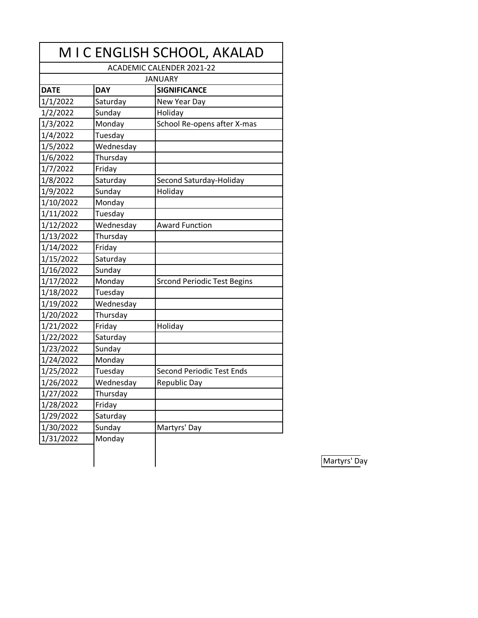| M I C ENGLISH SCHOOL, AKALAD     |            |                                    |
|----------------------------------|------------|------------------------------------|
| <b>ACADEMIC CALENDER 2021-22</b> |            |                                    |
|                                  |            | <b>JANUARY</b>                     |
| <b>DATE</b>                      | <b>DAY</b> | <b>SIGNIFICANCE</b>                |
| 1/1/2022                         | Saturday   | New Year Day                       |
| 1/2/2022                         | Sunday     | Holiday                            |
| 1/3/2022                         | Monday     | School Re-opens after X-mas        |
| 1/4/2022                         | Tuesday    |                                    |
| 1/5/2022                         | Wednesday  |                                    |
| 1/6/2022                         | Thursday   |                                    |
| 1/7/2022                         | Friday     |                                    |
| 1/8/2022                         | Saturday   | Second Saturday-Holiday            |
| 1/9/2022                         | Sunday     | Holiday                            |
| 1/10/2022                        | Monday     |                                    |
| 1/11/2022                        | Tuesday    |                                    |
| 1/12/2022                        | Wednesday  | <b>Award Function</b>              |
| 1/13/2022                        | Thursday   |                                    |
| 1/14/2022                        | Friday     |                                    |
| 1/15/2022                        | Saturday   |                                    |
| 1/16/2022                        | Sunday     |                                    |
| 1/17/2022                        | Monday     | <b>Srcond Periodic Test Begins</b> |
| 1/18/2022                        | Tuesday    |                                    |
| 1/19/2022                        | Wednesday  |                                    |
| 1/20/2022                        | Thursday   |                                    |
| 1/21/2022                        | Friday     | Holiday                            |
| 1/22/2022                        | Saturday   |                                    |
| 1/23/2022                        | Sunday     |                                    |
| 1/24/2022                        | Monday     |                                    |
| 1/25/2022                        | Tuesday    | <b>Second Periodic Test Ends</b>   |
| 1/26/2022                        | Wednesday  | Republic Day                       |
| $\frac{1}{27/2022}$              | Thursday   |                                    |
| 1/28/2022                        | Friday     |                                    |
| 1/29/2022                        | Saturday   |                                    |
| 1/30/2022                        | Sunday     | Martyrs' Day                       |
| 1/31/2022                        | Monday     |                                    |
|                                  |            |                                    |

Martyrs' Day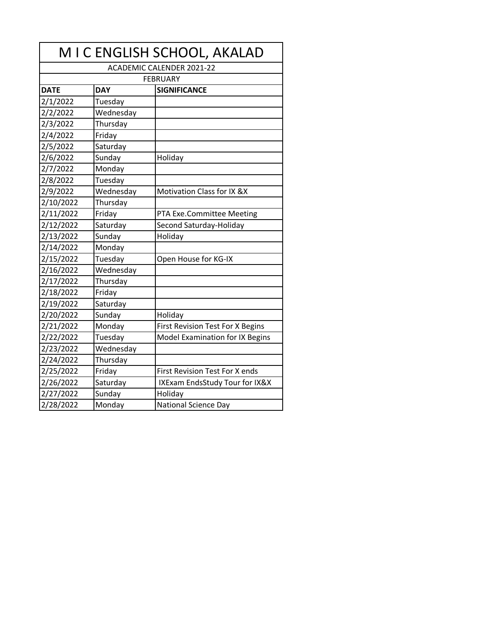| M I C ENGLISH SCHOOL, AKALAD     |            |                                         |  |
|----------------------------------|------------|-----------------------------------------|--|
| <b>ACADEMIC CALENDER 2021-22</b> |            |                                         |  |
|                                  |            | <b>FEBRUARY</b>                         |  |
| <b>DATE</b>                      | <b>DAY</b> | <b>SIGNIFICANCE</b>                     |  |
| 2/1/2022                         | Tuesday    |                                         |  |
| 2/2/2022                         | Wednesday  |                                         |  |
| 2/3/2022                         | Thursday   |                                         |  |
| 2/4/2022                         | Friday     |                                         |  |
| 2/5/2022                         | Saturday   |                                         |  |
| 2/6/2022                         | Sunday     | Holiday                                 |  |
| 2/7/2022                         | Monday     |                                         |  |
| 2/8/2022                         | Tuesday    |                                         |  |
| 2/9/2022                         | Wednesday  | Motivation Class for IX &X              |  |
| 2/10/2022                        | Thursday   |                                         |  |
| 2/11/2022                        | Friday     | PTA Exe.Committee Meeting               |  |
| 2/12/2022                        | Saturday   | Second Saturday-Holiday                 |  |
| 2/13/2022                        | Sunday     | Holiday                                 |  |
| 2/14/2022                        | Monday     |                                         |  |
| 2/15/2022                        | Tuesday    | Open House for KG-IX                    |  |
| 2/16/2022                        | Wednesday  |                                         |  |
| 2/17/2022                        | Thursday   |                                         |  |
| 2/18/2022                        | Friday     |                                         |  |
| 2/19/2022                        | Saturday   |                                         |  |
| 2/20/2022                        | Sunday     | Holiday                                 |  |
| 2/21/2022                        | Monday     | <b>First Revision Test For X Begins</b> |  |
| 2/22/2022                        | Tuesday    | Model Examination for IX Begins         |  |
| 2/23/2022                        | Wednesday  |                                         |  |
| 2/24/2022                        | Thursday   |                                         |  |
| 2/25/2022                        | Friday     | <b>First Revision Test For X ends</b>   |  |
| 2/26/2022                        | Saturday   | IXExam EndsStudy Tour for IX&X          |  |
| 2/27/2022                        | Sunday     | Holiday                                 |  |
| 2/28/2022                        | Monday     | <b>National Science Day</b>             |  |